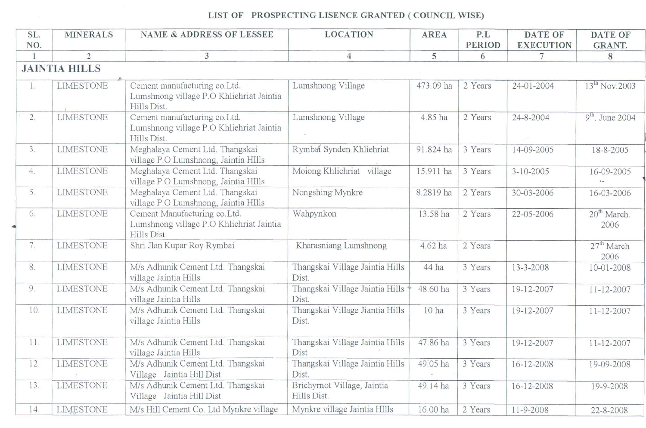## LIST OF PROSPECTING LISENCE GRANTED ( COUNCIL WISE)

| SL. | <b>MINERALS</b>      | <b>NAME &amp; ADDRESS OF LESSEE</b>                                                      | <b>LOCATION</b>                            | <b>AREA</b>      | P.L           | <b>DATE OF</b>   | <b>DATE OF</b>                  |
|-----|----------------------|------------------------------------------------------------------------------------------|--------------------------------------------|------------------|---------------|------------------|---------------------------------|
| NO. |                      |                                                                                          |                                            |                  | <b>PERIOD</b> | <b>EXECUTION</b> | GRANT.                          |
|     | $\mathfrak{D}$       | 3                                                                                        | 5<br>4                                     |                  | 6             | 7                | 8                               |
|     | <b>JAINTIA HILLS</b> |                                                                                          |                                            |                  |               |                  |                                 |
| 1.  | <b>LIMESTONE</b>     | Cement manufacturing co. Ltd.<br>Lumshnong village P.O Khliehriat Jaintia<br>Hills Dist. | Lumshnong Village                          | 473.09 ha        | 2 Years       | 24-01-2004       | 13 <sup>th</sup> Nov.2003       |
| 2.  | LIMESTONE            | Cement manufacturing co. Ltd.<br>Lumshnong village P.O Khliehriat Jaintia<br>Hills Dist. | Lumshnong Village<br>4.85 ha               |                  | 2 Years       | 24-8-2004        | $9th$ . June 2004               |
| 3.  | <b>LIMESTONE</b>     | Meghalaya Cement Ltd. Thangskai<br>village P.O Lumshnong, Jaintia HIlls                  | Rymbai Synden Khliehriat                   | 91.824 ha        |               | 14-09-2005       | 18-8-2005                       |
| 4.  | <b>LIMESTONE</b>     | Meghalaya Cement Ltd. Thangskai<br>village P.O Lumshnong, Jaintia HIlls                  | Moiong Khliehriat village                  | 15.911 ha        | 3 Years       | $3 - 10 - 2005$  | 16-09-2005                      |
| 5.  | <b>LIMESTONE</b>     | Meghalaya Cement Ltd. Thangskai<br>village P.O Lumshnong, Jaintia HIlls                  | Nongshing Mynkre                           | 8.2819 ha        | 2 Years       | $30 - 03 - 2006$ | 16-03-2006                      |
| 6.  | <b>LIMESTONE</b>     | Cement Manufacturing co.Ltd.<br>Lumshnong village P.O Khliehriat Jaintia<br>Hills Dist.  | Wahpynkon                                  | 13.58 ha         | 2 Years       | 22-05-2006       | 20 <sup>th</sup> March:<br>2006 |
| 7.  | <b>LIMESTONE</b>     | Shri Jlan Kupar Roy Rymbai                                                               | Kharasniang Lumshnong                      | 4.62 ha          | 2 Years       |                  | 27 <sup>th</sup> March<br>2006  |
| 8.  | <b>LIMESTONE</b>     | M/s Adhunik Cement Ltd. Thangskai<br>village Jaintia Hills                               | Thangskai Village Jaintia Hills<br>Dist.   | 44 ha            | 3 Years       | 13-3-2008        | 10-01-2008                      |
| 9.  | <b>LIMESTONE</b>     | M/s Adhunik Cement Ltd. Thangskai<br>village Jaintia Hills                               | Thangskai Village Jaintia Hills<br>Dist.   | 48.60 ha         | 3 Years       | 19-12-2007       | 11-12-2007                      |
| 10. | <b>LIMESTONE</b>     | M/s Adhunik Cement Ltd. Thangskai<br>village Jaintia Hills                               | Thangskai Village Jiantia Hills<br>Dist.   | 10 <sub>ha</sub> | 3 Years       | 19-12-2007       | 11-12-2007                      |
| 11. | <b>LIMESTONE</b>     | M/s Adhunik Cement Ltd. Thangskai<br>village Jaintia Hills                               | Thangskai Village Jaintia Hills<br>Dist    | 47.86 ha         | 3 Years       | 19-12-2007       | 11-12-2007                      |
| 12. | <b>LIMESTONE</b>     | M/s Adhunik Cement Ltd. Thangskai<br>Village Jaintia Hill Dist                           | Thangskai Village Jaintia Hills<br>Dist.   | 49.05 ha         | 3 Years       | 16-12-2008       | 19-09-2008                      |
| 13. | <b>LIMESTONE</b>     | M/s Adhunik Cement Ltd. Thangskai<br>Village Jaintia Hill Dist                           | Brichyrnot Village, Jaintia<br>Hills Dist. | 49.14 ha         | 3 Years       | 16-12-2008       | 19-9-2008                       |
| 14. | <b>LIMESTONE</b>     | M/s Hill Cement Co. Ltd Mynkre village                                                   | Mynkre village Jaintia HIlls               | 16.00 ha         | 2 Years       | 11-9-2008        | 22-8-2008                       |

...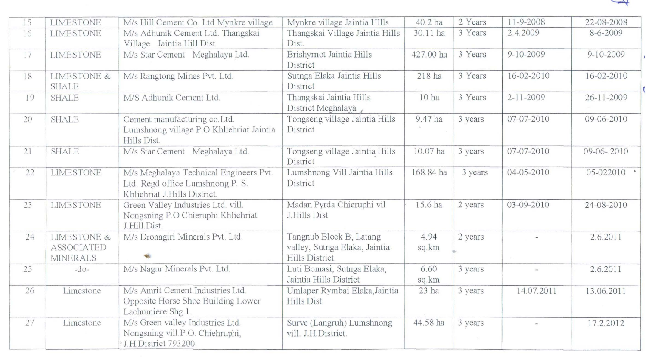

| 15 | <b>LIMESTONE</b>                                               | M/s Hill Cement Co. Ltd Mynkre village                                                                     | Mynkre village Jaintia HIlls                                                 | 40.2 ha          | 2 Years | 11-9-2008       | 22-08-2008      |
|----|----------------------------------------------------------------|------------------------------------------------------------------------------------------------------------|------------------------------------------------------------------------------|------------------|---------|-----------------|-----------------|
| 16 | <b>LIMESTONE</b>                                               | M/s Adhunik Cement Ltd. Thangskai<br>Village Jaintia Hill Dist                                             | Thangskai Village Jaintia Hills<br>Dist.                                     | 30.11 ha         | 3 Years | 2.4.2009        | 8-6-2009        |
| 17 | <b>LIMESTONE</b>                                               | M/s Star Cement Meghalaya Ltd.                                                                             | Brishyrnot Jaintia Hills<br>District                                         | 427.00 ha        | 3 Years | $9 - 10 - 2009$ | $9 - 10 - 2009$ |
| 18 | <b>LIMESTONE &amp;</b><br><b>SHALE</b>                         | M/s Rangtong Mines Pvt. Ltd.                                                                               | Sutnga Elaka Jaintia Hills<br>District                                       | 218 ha           | 3 Years | 16-02-2010      | 16-02-2010      |
| 19 | <b>SHALE</b>                                                   | M/S Adhunik Cement Ltd.                                                                                    | Thangskai Jaintia Hills<br>District Meghalaya                                | 10 <sub>ha</sub> | 3 Years | $2 - 11 - 2009$ | 26-11-2009      |
| 20 | <b>SHALE</b>                                                   | Cement manufacturing co.Ltd.<br>Lumshnong village P.O Khliehriat Jaintia<br>Hills Dist.                    | Tongseng village Jaintia Hills<br>District                                   | 9.47 ha          | 3 years | 07-07-2010      | 09-06-2010      |
| 21 | <b>SHALE</b>                                                   | M/s Star Cement Meghalaya Ltd.                                                                             | Tongseng village Jaintia Hills<br>District                                   | 10.07 ha         | 3 years | 07-07-2010      | 09-06-.2010     |
| 22 | <b>LIMESTONE</b>                                               | M/s Meghalaya Technical Engineers Pvt.<br>Ltd. Regd office Lumshnong P. S.<br>Khliehriat J.Hills District. | Lumshnong Vill Jaintia Hills<br>District                                     | 168.84 ha        | 3 years | 04-05-2010      | 05-022010       |
| 23 | <b>LIMESTONE</b>                                               | Green Valley Industries Ltd. vill.<br>Nongsning P.O Chieruphi Khliehriat<br>J.Hill.Dist.                   | Madan Pyrda Chieruphi vil<br>J.Hills Dist                                    | 15.6 ha          | 2 years | 03-09-2010      | 24-08-2010      |
| 24 | <b>LIMESTONE &amp;</b><br><b>ASSOCIATED</b><br><b>MINERALS</b> | M/s Dronagiri Minerals Pvt. Ltd.                                                                           | Tangnub Block B, Latang<br>valley, Sutnga Elaka, Jaintia.<br>Hills District. | 4.94<br>sq.km    | 2 years |                 | 2.6.2011        |
| 25 | $-d$ o-                                                        | M/s Nagur Minerals Pvt. Ltd.                                                                               | Luti Bomasi, Sutnga Elaka,<br>Jaintia Hills District                         | 6.60<br>sq.km    | 3 years |                 | 2.6.2011        |
| 26 | Limestone                                                      | M/s Amrit Cement Industries Ltd.<br>Opposite Horse Shoe Building Lower<br>Lachumiere Shg.1.                | Umlaper Rymbai Elaka, Jaintia<br>Hills Dist.                                 | $23$ ha          | 3 years | 14.07.2011      | 13.06.2011      |
| 27 | Limestone                                                      | M/s Green valley Industries Ltd.<br>Nongsning vill.P.O. Chiehruphi,<br>J.H.District 793200.                | Surve (Langruh) Lumshnong<br>vill. J.H.District.                             | 44.58 ha         | 3 years |                 | 17.2.2012       |